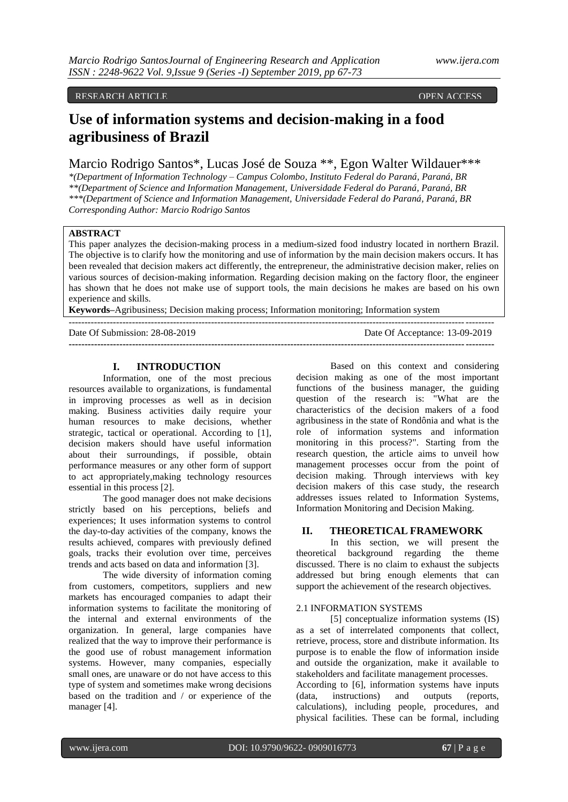RESEARCH ARTICLE OPEN ACCESS AND LODGED AT LAND AND LODGED AT LAND AND LODGED AT LAND AND LODGED AT LAND AND LODGED AT LAND AND LODGED AT LAND AND LODGED AT LAND AND LODGED AT LAND AND LODGED AT LAND AND LODGED AT LAND AT

# **Use of information systems and decision-making in a food agribusiness of Brazil**

Marcio Rodrigo Santos\*, Lucas José de Souza \*\*, Egon Walter Wildauer\*\*\*

*\*(Department of Information Technology – Campus Colombo, Instituto Federal do Paraná, Paraná, BR \*\*(Department of Science and Information Management, Universidade Federal do Paraná, Paraná, BR \*\*\*(Department of Science and Information Management, Universidade Federal do Paraná, Paraná, BR Corresponding Author: Marcio Rodrigo Santos*

# **ABSTRACT**

This paper analyzes the decision-making process in a medium-sized food industry located in northern Brazil. The objective is to clarify how the monitoring and use of information by the main decision makers occurs. It has been revealed that decision makers act differently, the entrepreneur, the administrative decision maker, relies on various sources of decision-making information. Regarding decision making on the factory floor, the engineer has shown that he does not make use of support tools, the main decisions he makes are based on his own experience and skills.

**Keywords–**Agribusiness; Decision making process; Information monitoring; Information system

| Date Of Submission: 28-08-2019 | Date Of Acceptance: 13-09-2019 |
|--------------------------------|--------------------------------|
|                                |                                |

## **I. INTRODUCTION**

Information, one of the most precious resources available to organizations, is fundamental in improving processes as well as in decision making. Business activities daily require your human resources to make decisions, whether strategic, tactical or operational. According to [1], decision makers should have useful information about their surroundings, if possible, obtain performance measures or any other form of support to act appropriately,making technology resources essential in this process [2].

The good manager does not make decisions strictly based on his perceptions, beliefs and experiences; It uses information systems to control the day-to-day activities of the company, knows the results achieved, compares with previously defined goals, tracks their evolution over time, perceives trends and acts based on data and information [3].

The wide diversity of information coming from customers, competitors, suppliers and new markets has encouraged companies to adapt their information systems to facilitate the monitoring of the internal and external environments of the organization. In general, large companies have realized that the way to improve their performance is the good use of robust management information systems. However, many companies, especially small ones, are unaware or do not have access to this type of system and sometimes make wrong decisions based on the tradition and / or experience of the manager [4].

Based on this context and considering decision making as one of the most important functions of the business manager, the guiding question of the research is: "What are the characteristics of the decision makers of a food agribusiness in the state of Rondônia and what is the role of information systems and information monitoring in this process?". Starting from the research question, the article aims to unveil how management processes occur from the point of decision making. Through interviews with key decision makers of this case study, the research addresses issues related to Information Systems, Information Monitoring and Decision Making.

## **II. THEORETICAL FRAMEWORK**

In this section, we will present the theoretical background regarding the theme discussed. There is no claim to exhaust the subjects addressed but bring enough elements that can support the achievement of the research objectives.

## 2.1 INFORMATION SYSTEMS

[5] conceptualize information systems (IS) as a set of interrelated components that collect, retrieve, process, store and distribute information. Its purpose is to enable the flow of information inside and outside the organization, make it available to stakeholders and facilitate management processes.

According to [6], information systems have inputs (data, instructions) and outputs (reports, calculations), including people, procedures, and physical facilities. These can be formal, including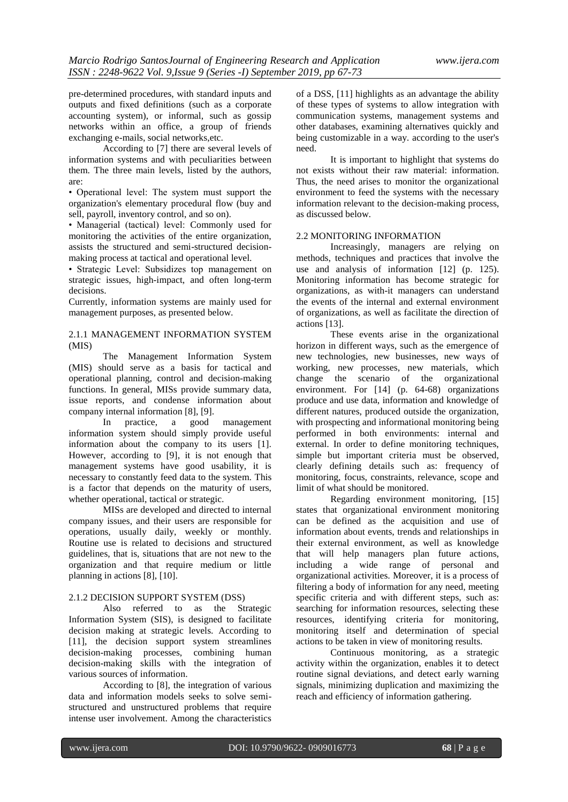pre-determined procedures, with standard inputs and outputs and fixed definitions (such as a corporate accounting system), or informal, such as gossip networks within an office, a group of friends exchanging e-mails, social networks,etc.

According to [7] there are several levels of information systems and with peculiarities between them. The three main levels, listed by the authors, are:

• Operational level: The system must support the organization's elementary procedural flow (buy and sell, payroll, inventory control, and so on).

• Managerial (tactical) level: Commonly used for monitoring the activities of the entire organization, assists the structured and semi-structured decisionmaking process at tactical and operational level.

• Strategic Level: Subsidizes top management on strategic issues, high-impact, and often long-term decisions.

Currently, information systems are mainly used for management purposes, as presented below.

## 2.1.1 MANAGEMENT INFORMATION SYSTEM (MIS)

The Management Information System (MIS) should serve as a basis for tactical and operational planning, control and decision-making functions. In general, MISs provide summary data, issue reports, and condense information about company internal information [8], [9].

In practice, a good management information system should simply provide useful information about the company to its users [1]. However, according to [9], it is not enough that management systems have good usability, it is necessary to constantly feed data to the system. This is a factor that depends on the maturity of users, whether operational, tactical or strategic.

MISs are developed and directed to internal company issues, and their users are responsible for operations, usually daily, weekly or monthly. Routine use is related to decisions and structured guidelines, that is, situations that are not new to the organization and that require medium or little planning in actions [8], [10].

## 2.1.2 DECISION SUPPORT SYSTEM (DSS)

Also referred to as the Strategic Information System (SIS), is designed to facilitate decision making at strategic levels. According to [11], the decision support system streamlines decision-making processes, combining human decision-making skills with the integration of various sources of information.

According to [8], the integration of various data and information models seeks to solve semistructured and unstructured problems that require intense user involvement. Among the characteristics

of a DSS, [11] highlights as an advantage the ability of these types of systems to allow integration with communication systems, management systems and other databases, examining alternatives quickly and being customizable in a way. according to the user's need.

It is important to highlight that systems do not exists without their raw material: information. Thus, the need arises to monitor the organizational environment to feed the systems with the necessary information relevant to the decision-making process, as discussed below.

## 2.2 MONITORING INFORMATION

Increasingly, managers are relying on methods, techniques and practices that involve the use and analysis of information [12] (p. 125). Monitoring information has become strategic for organizations, as with-it managers can understand the events of the internal and external environment of organizations, as well as facilitate the direction of actions [13].

These events arise in the organizational horizon in different ways, such as the emergence of new technologies, new businesses, new ways of working, new processes, new materials, which change the scenario of the organizational environment. For [14] (p. 64-68) organizations produce and use data, information and knowledge of different natures, produced outside the organization, with prospecting and informational monitoring being performed in both environments: internal and external. In order to define monitoring techniques, simple but important criteria must be observed, clearly defining details such as: frequency of monitoring, focus, constraints, relevance, scope and limit of what should be monitored.

Regarding environment monitoring, [15] states that organizational environment monitoring can be defined as the acquisition and use of information about events, trends and relationships in their external environment, as well as knowledge that will help managers plan future actions, including a wide range of personal and organizational activities. Moreover, it is a process of filtering a body of information for any need, meeting specific criteria and with different steps, such as: searching for information resources, selecting these resources, identifying criteria for monitoring, monitoring itself and determination of special actions to be taken in view of monitoring results.

Continuous monitoring, as a strategic activity within the organization, enables it to detect routine signal deviations, and detect early warning signals, minimizing duplication and maximizing the reach and efficiency of information gathering.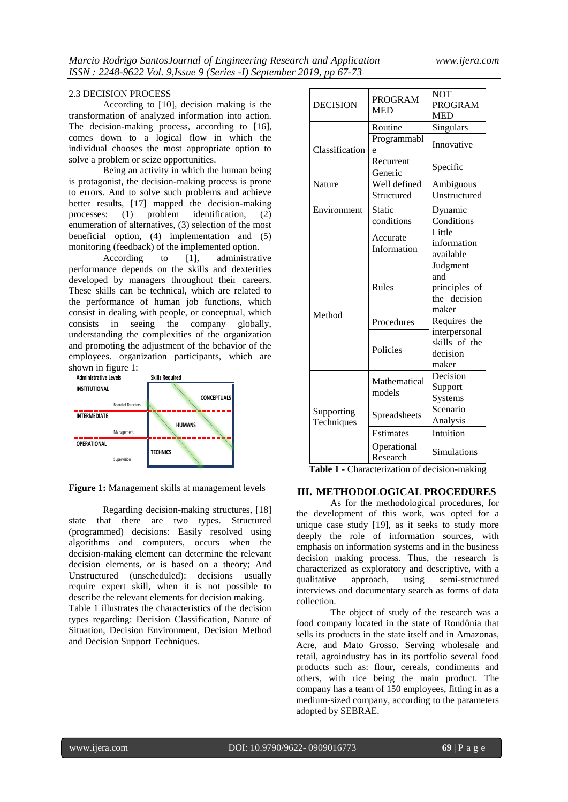## 2.3 DECISION PROCESS

According to [10], decision making is the transformation of analyzed information into action. The decision-making process, according to [16], comes down to a logical flow in which the individual chooses the most appropriate option to solve a problem or seize opportunities.

Being an activity in which the human being is protagonist, the decision-making process is prone to errors. And to solve such problems and achieve better results, [17] mapped the decision-making<br>processes: (1) problem identification, (2) processes: (1) problem identification, (2) enumeration of alternatives, (3) selection of the most beneficial option, (4) implementation and (5) monitoring (feedback) of the implemented option.<br>According to [1], administration

 $\alpha$  [1], administrative performance depends on the skills and dexterities developed by managers throughout their careers. These skills can be technical, which are related to the performance of human job functions, which consist in dealing with people, or conceptual, which consists in seeing the company globally, understanding the complexities of the organization and promoting the adjustment of the behavior of the employees. organization participants, which are shown in figure 1:



**Figure 1:** Management skills at management levels

Regarding decision-making structures, [18] state that there are two types. Structured (programmed) decisions: Easily resolved using algorithms and computers, occurs when the decision-making element can determine the relevant decision elements, or is based on a theory; And Unstructured (unscheduled): decisions usually require expert skill, when it is not possible to describe the relevant elements for decision making. Table 1 illustrates the characteristics of the decision types regarding: Decision Classification, Nature of Situation, Decision Environment, Decision Method and Decision Support Techniques.

| <b>DECISION</b>          | <b>PROGRAM</b><br><b>MED</b> | <b>NOT</b><br><b>PROGRAM</b><br><b>MED</b>                |
|--------------------------|------------------------------|-----------------------------------------------------------|
| Classification           | Routine<br>Programmabl<br>e  | Singulars<br>Innovative                                   |
|                          | Recurrent<br>Generic         | Specific                                                  |
| Nature                   | Well defined                 | Ambiguous                                                 |
|                          | Structured                   | Unstructured                                              |
| Environment              | Static<br>conditions         | Dynamic<br>Conditions                                     |
|                          | Accurate<br>Information      | Little<br>information<br>available                        |
| Method                   | Rules                        | Judgment<br>and<br>principles of<br>the decision<br>maker |
|                          | Procedures                   | Requires the                                              |
|                          | Policies                     | interpersonal<br>skills of the<br>decision<br>maker       |
| Supporting<br>Techniques | Mathematical<br>models       | Decision<br>Support<br>Systems                            |
|                          | Spreadsheets                 | Scenario<br>Analysis                                      |
|                          | <b>Estimates</b>             | Intuition                                                 |
|                          | Operational<br>Research      | Simulations                                               |

**Table 1 -** Characterization of decision-making

# **III. METHODOLOGICAL PROCEDURES**

As for the methodological procedures, for the development of this work, was opted for a unique case study [19], as it seeks to study more deeply the role of information sources, with emphasis on information systems and in the business decision making process. Thus, the research is characterized as exploratory and descriptive, with a qualitative approach, using semi-structured interviews and documentary search as forms of data collection.

The object of study of the research was a food company located in the state of Rondônia that sells its products in the state itself and in Amazonas, Acre, and Mato Grosso. Serving wholesale and retail, agroindustry has in its portfolio several food products such as: flour, cereals, condiments and others, with rice being the main product. The company has a team of 150 employees, fitting in as a medium-sized company, according to the parameters adopted by SEBRAE.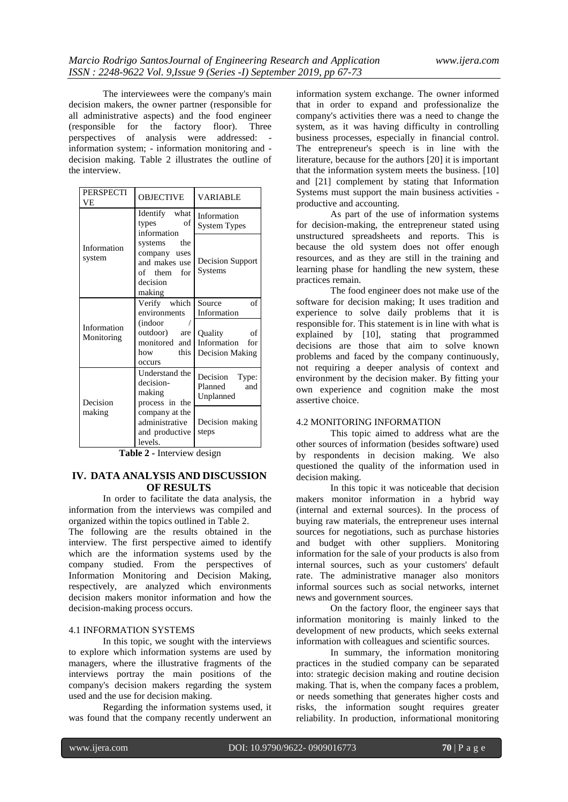The interviewees were the company's main decision makers, the owner partner (responsible for all administrative aspects) and the food engineer (responsible for the factory floor). Three perspectives of analysis were addressed: information system; - information monitoring and decision making. Table 2 illustrates the outline of the interview.

| <b>PERSPECTI</b><br><b>VF</b> | <b>OBJECTIVE</b>                                                                                              | <b>VARIABLE</b>                                                                       |
|-------------------------------|---------------------------------------------------------------------------------------------------------------|---------------------------------------------------------------------------------------|
|                               | Identify what<br>of<br>types<br>information                                                                   | Information<br><b>System Types</b>                                                    |
| Information<br>system         | systems the<br>company uses<br>and makes use<br>of them for<br>decision<br>making                             | Decision Support<br>Systems                                                           |
| Information<br>Monitoring     | Verify which<br>environments<br><i>(indoor)</i><br>outdoor) are<br>monitored and<br>how this<br><b>OCCUTS</b> | Source<br>of<br>Information<br>Quality<br>of<br>Information<br>for<br>Decision Making |
| Decision                      | Understand the<br>decision-<br>making<br>process in the                                                       | Decision Type:<br>Planned<br>and<br>Unplanned                                         |
| making                        | company at the<br>administrative<br>and productive<br>levels.                                                 | Decision making<br>steps                                                              |

**Table 2 -** Interview design

# **IV. DATA ANALYSIS AND DISCUSSION OF RESULTS**

In order to facilitate the data analysis, the information from the interviews was compiled and organized within the topics outlined in Table 2.

The following are the results obtained in the interview. The first perspective aimed to identify which are the information systems used by the company studied. From the perspectives of Information Monitoring and Decision Making, respectively, are analyzed which environments decision makers monitor information and how the decision-making process occurs.

## 4.1 INFORMATION SYSTEMS

In this topic, we sought with the interviews to explore which information systems are used by managers, where the illustrative fragments of the interviews portray the main positions of the company's decision makers regarding the system used and the use for decision making.

Regarding the information systems used, it was found that the company recently underwent an

information system exchange. The owner informed that in order to expand and professionalize the company's activities there was a need to change the system, as it was having difficulty in controlling business processes, especially in financial control. The entrepreneur's speech is in line with the literature, because for the authors [20] it is important that the information system meets the business. [10] and [21] complement by stating that Information Systems must support the main business activities productive and accounting.

As part of the use of information systems for decision-making, the entrepreneur stated using unstructured spreadsheets and reports. This is because the old system does not offer enough resources, and as they are still in the training and learning phase for handling the new system, these practices remain.

The food engineer does not make use of the software for decision making; It uses tradition and experience to solve daily problems that it is responsible for. This statement is in line with what is explained by [10], stating that programmed decisions are those that aim to solve known problems and faced by the company continuously, not requiring a deeper analysis of context and environment by the decision maker. By fitting your own experience and cognition make the most assertive choice.

## 4.2 MONITORING INFORMATION

This topic aimed to address what are the other sources of information (besides software) used by respondents in decision making. We also questioned the quality of the information used in decision making.

In this topic it was noticeable that decision makers monitor information in a hybrid way (internal and external sources). In the process of buying raw materials, the entrepreneur uses internal sources for negotiations, such as purchase histories and budget with other suppliers. Monitoring information for the sale of your products is also from internal sources, such as your customers' default rate. The administrative manager also monitors informal sources such as social networks, internet news and government sources.

On the factory floor, the engineer says that information monitoring is mainly linked to the development of new products, which seeks external information with colleagues and scientific sources.

In summary, the information monitoring practices in the studied company can be separated into: strategic decision making and routine decision making. That is, when the company faces a problem, or needs something that generates higher costs and risks, the information sought requires greater reliability. In production, informational monitoring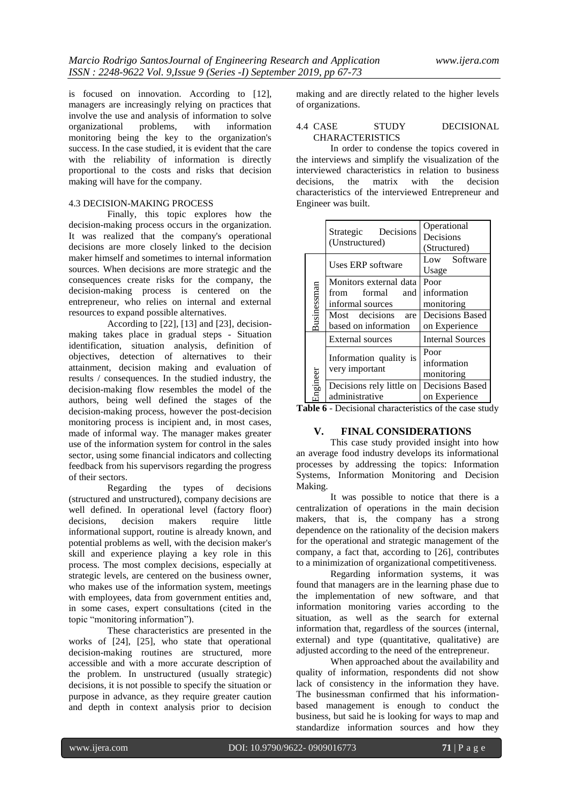is focused on innovation. According to [12], managers are increasingly relying on practices that involve the use and analysis of information to solve organizational problems, with information monitoring being the key to the organization's success. In the case studied, it is evident that the care with the reliability of information is directly proportional to the costs and risks that decision making will have for the company.

# 4.3 DECISION-MAKING PROCESS

Finally, this topic explores how the decision-making process occurs in the organization. It was realized that the company's operational decisions are more closely linked to the decision maker himself and sometimes to internal information sources. When decisions are more strategic and the consequences create risks for the company, the decision-making process is centered on the entrepreneur, who relies on internal and external resources to expand possible alternatives.

According to [22], [13] and [23], decisionmaking takes place in gradual steps - Situation identification, situation analysis, definition of objectives, detection of alternatives to their attainment, decision making and evaluation of results / consequences. In the studied industry, the decision-making flow resembles the model of the authors, being well defined the stages of the decision-making process, however the post-decision monitoring process is incipient and, in most cases, made of informal way. The manager makes greater use of the information system for control in the sales sector, using some financial indicators and collecting feedback from his supervisors regarding the progress of their sectors.

Regarding the types of decisions (structured and unstructured), company decisions are well defined. In operational level (factory floor) decisions, decision makers require little informational support, routine is already known, and potential problems as well, with the decision maker's skill and experience playing a key role in this process. The most complex decisions, especially at strategic levels, are centered on the business owner, who makes use of the information system, meetings with employees, data from government entities and, in some cases, expert consultations (cited in the topic "monitoring information").

These characteristics are presented in the works of [24], [25], who state that operational decision-making routines are structured, more accessible and with a more accurate description of the problem. In unstructured (usually strategic) decisions, it is not possible to specify the situation or purpose in advance, as they require greater caution and depth in context analysis prior to decision

making and are directly related to the higher levels of organizations.

## 4.4 CASE STUDY DECISIONAL **CHARACTERISTICS**

In order to condense the topics covered in the interviews and simplify the visualization of the interviewed characteristics in relation to business<br>decisions. the matrix with the decision the matrix with the decision characteristics of the interviewed Entrepreneur and Engineer was built.

|                            | Decisions<br>Strategic<br>(Unstructured) | Operational<br>Decisions<br>(Structured) |
|----------------------------|------------------------------------------|------------------------------------------|
|                            | Uses ERP software                        | Low Software<br>Usage                    |
|                            | Monitors external data                   | Poor                                     |
|                            | formal<br>from<br>and                    | information                              |
|                            | informal sources                         | monitoring                               |
| Businessman                | Most decisions<br>are                    | Decisions Based                          |
|                            | based on information                     | on Experience                            |
|                            | External sources                         | <b>Internal Sources</b>                  |
|                            |                                          | Poor                                     |
|                            | Information quality is                   | information                              |
| very important<br>Engineer |                                          | monitoring                               |
|                            | Decisions rely little on                 | Decisions Based                          |
|                            | administrative                           | on Experience                            |

**Table 6** - Decisional characteristics of the case study

# **V. FINAL CONSIDERATIONS**

This case study provided insight into how an average food industry develops its informational processes by addressing the topics: Information Systems, Information Monitoring and Decision Making.

It was possible to notice that there is a centralization of operations in the main decision makers, that is, the company has a strong dependence on the rationality of the decision makers for the operational and strategic management of the company, a fact that, according to [26], contributes to a minimization of organizational competitiveness.

Regarding information systems, it was found that managers are in the learning phase due to the implementation of new software, and that information monitoring varies according to the situation, as well as the search for external information that, regardless of the sources (internal, external) and type (quantitative, qualitative) are adjusted according to the need of the entrepreneur.

When approached about the availability and quality of information, respondents did not show lack of consistency in the information they have. The businessman confirmed that his informationbased management is enough to conduct the business, but said he is looking for ways to map and standardize information sources and how they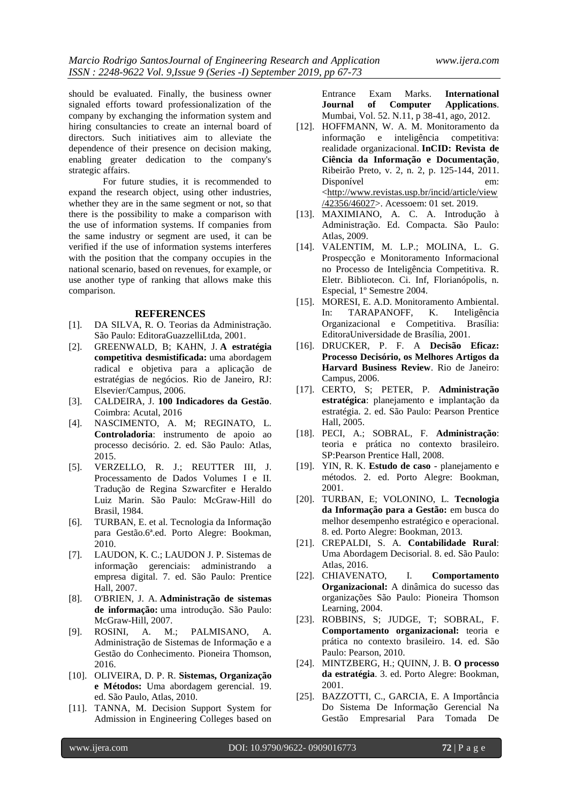should be evaluated. Finally, the business owner signaled efforts toward professionalization of the company by exchanging the information system and hiring consultancies to create an internal board of directors. Such initiatives aim to alleviate the dependence of their presence on decision making, enabling greater dedication to the company's strategic affairs.

For future studies, it is recommended to expand the research object, using other industries, whether they are in the same segment or not, so that there is the possibility to make a comparison with the use of information systems. If companies from the same industry or segment are used, it can be verified if the use of information systems interferes with the position that the company occupies in the national scenario, based on revenues, for example, or use another type of ranking that allows make this comparison.

#### **REFERENCES**

- [1]. DA SILVA, R. O. Teorias da Administração. São Paulo: EditoraGuazzelliLtda, 2001.
- [2]. GREENWALD, B; KAHN, J. **A estratégia competitiva desmistificada:** uma abordagem radical e objetiva para a aplicação de estratégias de negócios. Rio de Janeiro, RJ: Elsevier/Campus, 2006.
- [3]. CALDEIRA, J. **100 Indicadores da Gestão**. Coimbra: Acutal, 2016
- [4]. NASCIMENTO, A. M; REGINATO, L. **Controladoria**: instrumento de apoio ao processo decisório. 2. ed. São Paulo: Atlas, 2015.
- [5]. VERZELLO, R. J.; REUTTER III, J. Processamento de Dados Volumes I e II. Tradução de Regina Szwarcfiter e Heraldo Luiz Marin. São Paulo: McGraw-Hill do Brasil, 1984.
- [6]. TURBAN, E. et al. Tecnologia da Informação para Gestão.6ª.ed. Porto Alegre: Bookman, 2010.
- [7]. LAUDON, K. C.; LAUDON J. P. Sistemas de informação gerenciais: administrando a empresa digital. 7. ed. São Paulo: Prentice Hall, 2007.
- [8]. O'BRIEN, J. A. **Administração de sistemas de informação:** uma introdução. São Paulo: McGraw-Hill, 2007.<br>ROSINI, A. M.
- [9]. ROSINI, A. M.; PALMISANO, A. Administração de Sistemas de Informação e a Gestão do Conhecimento. Pioneira Thomson, 2016.
- [10]. OLIVEIRA, D. P. R. **Sistemas, Organização e Métodos:** Uma abordagem gerencial. 19. ed. São Paulo, Atlas, 2010.
- [11]. TANNA, M. Decision Support System for Admission in Engineering Colleges based on

Entrance Exam Marks. **International Journal of Computer Applications**. Mumbai, Vol. 52. N.11, p 38-41, ago, 2012.

- [12]. HOFFMANN, W. A. M. Monitoramento da informação e inteligência competitiva: realidade organizacional. **InCID: Revista de Ciência da Informação e Documentação**, Ribeirão Preto, v. 2, n. 2, p. 125-144, 2011. Disponível em: [<http://www.revistas.usp.br/incid/article/view](http://www.revistas.usp.br/incid/article/view/42356/46027) [/42356/46027>](http://www.revistas.usp.br/incid/article/view/42356/46027). Acessoem: 01 set. 2019.
- [13]. MAXIMIANO, A. C. A. Introdução à Administração. Ed. Compacta. São Paulo: Atlas, 2009.
- [14]. VALENTIM, M. L.P.; MOLINA, L. G. Prospecção e Monitoramento Informacional no Processo de Inteligência Competitiva. R. Eletr. Bibliotecon. Ci. Inf, Florianópolis, n. Especial, 1º Semestre 2004.
- [15]. MORESI, E. A.D. Monitoramento Ambiental. In: TARAPANOFF, K. Inteligência Organizacional e Competitiva. Brasília: EditoraUniversidade de Brasília, 2001.
- [16]. DRUCKER, P. F. A **Decisão Eficaz: Processo Decisório, os Melhores Artigos da Harvard Business Review**. Rio de Janeiro: Campus, 2006.
- [17]. CERTO, S; PETER, P. **Administração estratégica**: planejamento e implantação da estratégia. 2. ed. São Paulo: Pearson Prentice Hall, 2005.
- [18]. PECI, A.; SOBRAL, F. **Administração**: teoria e prática no contexto brasileiro. SP:Pearson Prentice Hall, 2008.
- [19]. YIN, R. K. **Estudo de caso** planejamento e métodos. 2. ed. Porto Alegre: Bookman, 2001.
- [20]. TURBAN, E; VOLONINO, L. **Tecnologia da Informação para a Gestão:** em busca do melhor desempenho estratégico e operacional. 8. ed. Porto Alegre: Bookman, 2013.
- [21]. CREPALDI, S. A. **Contabilidade Rural**: Uma Abordagem Decisorial. 8. ed. São Paulo: Atlas, 2016.
- [22]. CHIAVENATO, I. **Comportamento Organizacional:** A dinâmica do sucesso das organizações São Paulo: Pioneira Thomson Learning, 2004.
- [23]. ROBBINS, S; JUDGE, T; SOBRAL, F. **Comportamento organizacional:** teoria e prática no contexto brasileiro. 14. ed. São Paulo: Pearson, 2010.
- [24]. MINTZBERG, H.; QUINN, J. B. **O processo da estratégia**. 3. ed. Porto Alegre: Bookman, 2001.
- [25]. BAZZOTTI, C., GARCIA, E. A Importância Do Sistema De Informação Gerencial Na Gestão Empresarial Para Tomada De